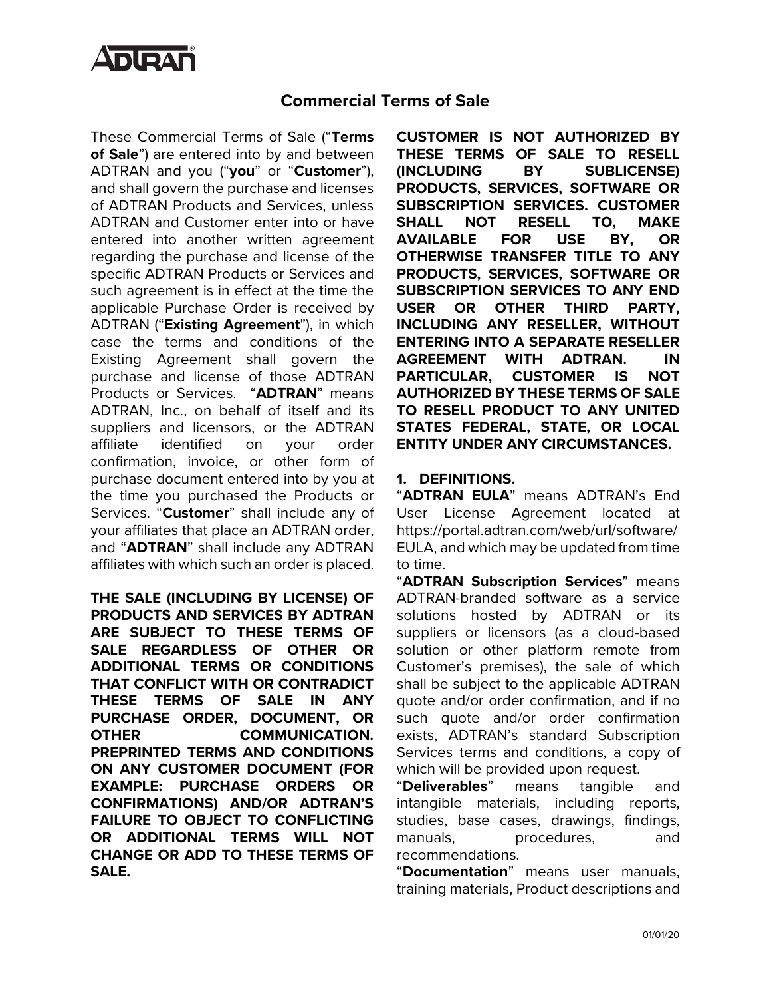

# **Commercial Terms of Sale**

These Commercial Terms of Sale ("**Terms of Sale**") are entered into by and between ADTRAN and you ("**you**" or "**Customer**"), and shall govern the purchase and licenses of ADTRAN Products and Services, unless ADTRAN and Customer enter into or have entered into another written agreement regarding the purchase and license of the specific ADTRAN Products or Services and such agreement is in effect at the time the applicable Purchase Order is received by ADTRAN ("**Existing Agreement**"), in which case the terms and conditions of the Existing Agreement shall govern the purchase and license of those ADTRAN Products or Services. "**ADTRAN**" means ADTRAN, Inc., on behalf of itself and its suppliers and licensors, or the ADTRAN affiliate identified on your order confirmation, invoice, or other form of purchase document entered into by you at the time you purchased the Products or Services. "**Customer**" shall include any of your affiliates that place an ADTRAN order, and "**ADTRAN**" shall include any ADTRAN affiliates with which such an order is placed.

**THE SALE (INCLUDING BY LICENSE) OF PRODUCTS AND SERVICES BY ADTRAN ARE SUBJECT TO THESE TERMS OF SALE REGARDLESS OF OTHER OR ADDITIONAL TERMS OR CONDITIONS THAT CONFLICT WITH OR CONTRADICT THESE TERMS OF SALE IN ANY PURCHASE ORDER, DOCUMENT, OR OTHER COMMUNICATION. PREPRINTED TERMS AND CONDITIONS ON ANY CUSTOMER DOCUMENT (FOR EXAMPLE: PURCHASE ORDERS OR CONFIRMATIONS) AND/OR ADTRAN'S FAILURE TO OBJECT TO CONFLICTING OR ADDITIONAL TERMS WILL NOT CHANGE OR ADD TO THESE TERMS OF SALE.**

**CUSTOMER IS NOT AUTHORIZED BY THESE TERMS OF SALE TO RESELL (INCLUDING BY SUBLICENSE) PRODUCTS, SERVICES, SOFTWARE OR SUBSCRIPTION SERVICES. CUSTOMER SHALL NOT RESELL TO, MAKE AVAILABLE FOR USE BY, OR OTHERWISE TRANSFER TITLE TO ANY PRODUCTS, SERVICES, SOFTWARE OR SUBSCRIPTION SERVICES TO ANY END USER OR OTHER THIRD PARTY, INCLUDING ANY RESELLER, WITHOUT ENTERING INTO A SEPARATE RESELLER AGREEMENT WITH ADTRAN. IN PARTICULAR, CUSTOMER IS NOT AUTHORIZED BY THESE TERMS OF SALE TO RESELL PRODUCT TO ANY UNITED STATES FEDERAL, STATE, OR LOCAL ENTITY UNDER ANY CIRCUMSTANCES.** 

### **1. DEFINITIONS.**

"**ADTRAN EULA**" means ADTRAN's End User License Agreement located at https://portal.adtran.com/web/url/software/ EULA, and which may be updated from time to time.

"**ADTRAN Subscription Services**" means ADTRAN-branded software as a service solutions hosted by ADTRAN or its suppliers or licensors (as a cloud-based solution or other platform remote from Customer's premises), the sale of which shall be subject to the applicable ADTRAN quote and/or order confirmation, and if no such quote and/or order confirmation exists, ADTRAN's standard Subscription Services terms and conditions, a copy of which will be provided upon request.

"**Deliverables**" means tangible and intangible materials, including reports, studies, base cases, drawings, findings, manuals, procedures, and recommendations.

"**Documentation**" means user manuals, training materials, Product descriptions and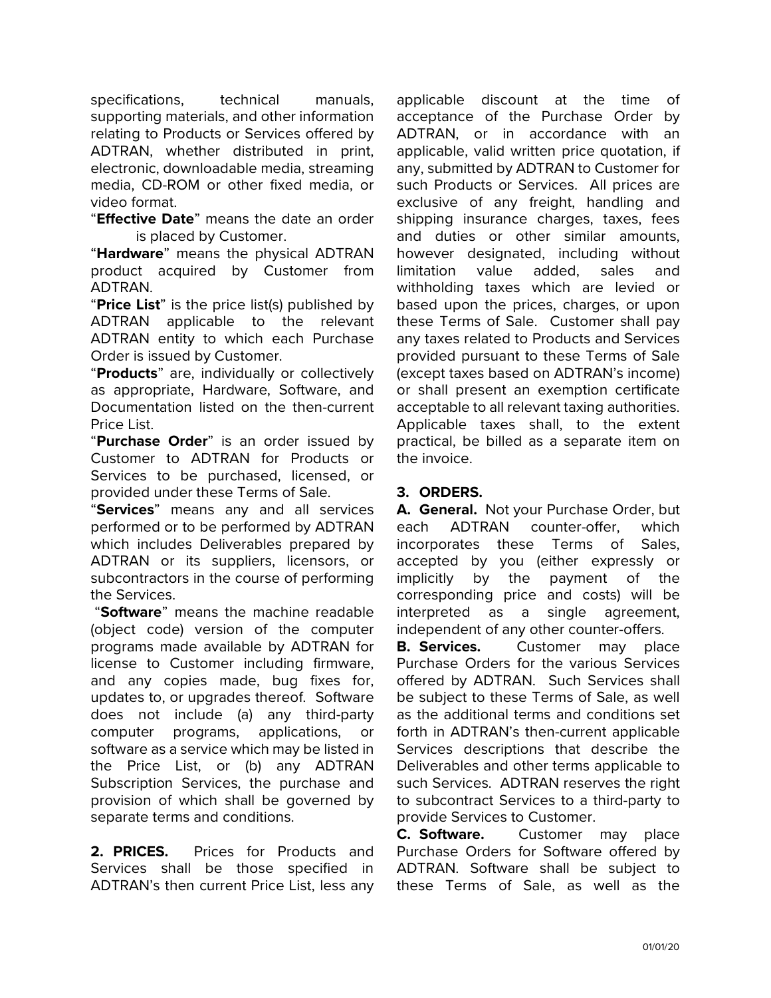specifications, technical manuals, supporting materials, and other information relating to Products or Services offered by ADTRAN, whether distributed in print, electronic, downloadable media, streaming media, CD-ROM or other fixed media, or video format.

"**Effective Date**" means the date an order is placed by Customer.

"**Hardware**" means the physical ADTRAN product acquired by Customer from ADTRAN.

"**Price List**" is the price list(s) published by ADTRAN applicable to the relevant ADTRAN entity to which each Purchase Order is issued by Customer.

"**Products**" are, individually or collectively as appropriate, Hardware, Software, and Documentation listed on the then-current Price List.

"**Purchase Order**" is an order issued by Customer to ADTRAN for Products or Services to be purchased, licensed, or provided under these Terms of Sale.

"**Services**" means any and all services performed or to be performed by ADTRAN which includes Deliverables prepared by ADTRAN or its suppliers, licensors, or subcontractors in the course of performing the Services.

"**Software**" means the machine readable (object code) version of the computer programs made available by ADTRAN for license to Customer including firmware, and any copies made, bug fixes for, updates to, or upgrades thereof. Software does not include (a) any third-party computer programs, applications, or software as a service which may be listed in the Price List, or (b) any ADTRAN Subscription Services, the purchase and provision of which shall be governed by separate terms and conditions.

**2. PRICES.** Prices for Products and Services shall be those specified in ADTRAN's then current Price List, less any applicable discount at the time of acceptance of the Purchase Order by ADTRAN, or in accordance with an applicable, valid written price quotation, if any, submitted by ADTRAN to Customer for such Products or Services. All prices are exclusive of any freight, handling and shipping insurance charges, taxes, fees and duties or other similar amounts, however designated, including without limitation value added, sales and withholding taxes which are levied or based upon the prices, charges, or upon these Terms of Sale. Customer shall pay any taxes related to Products and Services provided pursuant to these Terms of Sale (except taxes based on ADTRAN's income) or shall present an exemption certificate acceptable to all relevant taxing authorities. Applicable taxes shall, to the extent practical, be billed as a separate item on the invoice.

# **3. ORDERS.**

**A. General.** Not your Purchase Order, but each ADTRAN counter-offer, which incorporates these Terms of Sales, accepted by you (either expressly or implicitly by the payment of the corresponding price and costs) will be interpreted as a single agreement, independent of any other counter-offers.

**B. Services.** Customer may place Purchase Orders for the various Services offered by ADTRAN. Such Services shall be subject to these Terms of Sale, as well as the additional terms and conditions set forth in ADTRAN's then-current applicable Services descriptions that describe the Deliverables and other terms applicable to such Services. ADTRAN reserves the right to subcontract Services to a third-party to provide Services to Customer.

**C. Software.** Customer may place Purchase Orders for Software offered by ADTRAN. Software shall be subject to these Terms of Sale, as well as the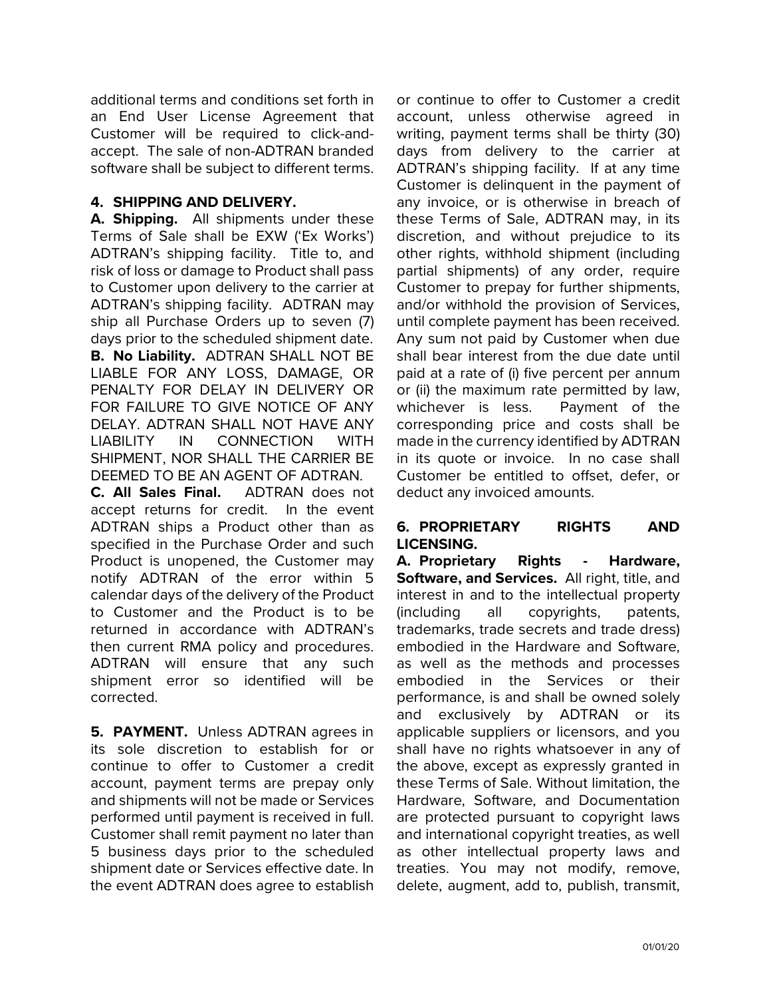additional terms and conditions set forth in an End User License Agreement that Customer will be required to click-andaccept. The sale of non-ADTRAN branded software shall be subject to different terms.

# **4. SHIPPING AND DELIVERY.**

**A. Shipping.** All shipments under these Terms of Sale shall be EXW ('Ex Works') ADTRAN's shipping facility. Title to, and risk of loss or damage to Product shall pass to Customer upon delivery to the carrier at ADTRAN's shipping facility. ADTRAN may ship all Purchase Orders up to seven (7) days prior to the scheduled shipment date. **B. No Liability.** ADTRAN SHALL NOT BE LIABLE FOR ANY LOSS, DAMAGE, OR PENALTY FOR DELAY IN DELIVERY OR FOR FAILURE TO GIVE NOTICE OF ANY DELAY. ADTRAN SHALL NOT HAVE ANY LIABILITY IN CONNECTION WITH SHIPMENT, NOR SHALL THE CARRIER BE DEEMED TO BE AN AGENT OF ADTRAN.

**C. All Sales Final.** ADTRAN does not accept returns for credit. In the event ADTRAN ships a Product other than as specified in the Purchase Order and such Product is unopened, the Customer may notify ADTRAN of the error within 5 calendar days of the delivery of the Product to Customer and the Product is to be returned in accordance with ADTRAN's then current RMA policy and procedures. ADTRAN will ensure that any such shipment error so identified will be corrected.

**5. PAYMENT.** Unless ADTRAN agrees in its sole discretion to establish for or continue to offer to Customer a credit account, payment terms are prepay only and shipments will not be made or Services performed until payment is received in full. Customer shall remit payment no later than 5 business days prior to the scheduled shipment date or Services effective date. In the event ADTRAN does agree to establish

or continue to offer to Customer a credit account, unless otherwise agreed in writing, payment terms shall be thirty (30) days from delivery to the carrier at ADTRAN's shipping facility. If at any time Customer is delinquent in the payment of any invoice, or is otherwise in breach of these Terms of Sale, ADTRAN may, in its discretion, and without prejudice to its other rights, withhold shipment (including partial shipments) of any order, require Customer to prepay for further shipments, and/or withhold the provision of Services, until complete payment has been received. Any sum not paid by Customer when due shall bear interest from the due date until paid at a rate of (i) five percent per annum or (ii) the maximum rate permitted by law, whichever is less. Payment of the corresponding price and costs shall be made in the currency identified by ADTRAN in its quote or invoice. In no case shall Customer be entitled to offset, defer, or deduct any invoiced amounts.

# **6. PROPRIETARY RIGHTS AND LICENSING.**

**A. Proprietary Rights - Hardware, Software, and Services.** All right, title, and interest in and to the intellectual property (including all copyrights, patents, trademarks, trade secrets and trade dress) embodied in the Hardware and Software, as well as the methods and processes embodied in the Services or their performance, is and shall be owned solely and exclusively by ADTRAN or its applicable suppliers or licensors, and you shall have no rights whatsoever in any of the above, except as expressly granted in these Terms of Sale. Without limitation, the Hardware, Software, and Documentation are protected pursuant to copyright laws and international copyright treaties, as well as other intellectual property laws and treaties. You may not modify, remove, delete, augment, add to, publish, transmit,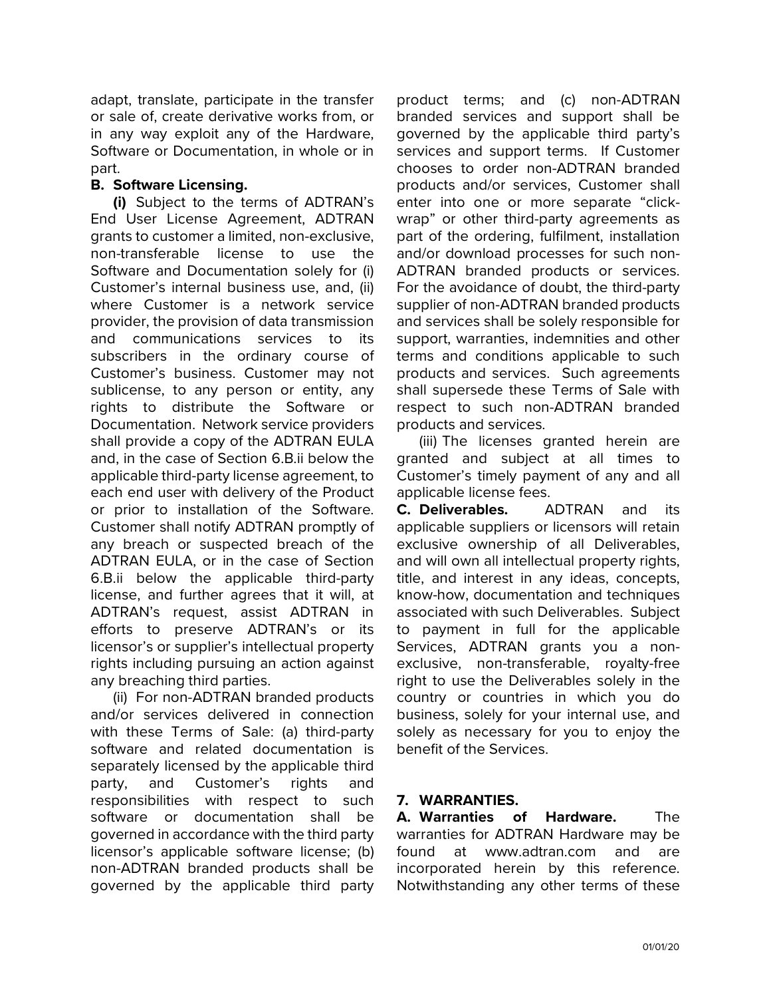adapt, translate, participate in the transfer or sale of, create derivative works from, or in any way exploit any of the Hardware, Software or Documentation, in whole or in part.

### **B. Software Licensing.**

**(i)** Subject to the terms of ADTRAN's End User License Agreement, ADTRAN grants to customer a limited, non-exclusive, non-transferable license to use the Software and Documentation solely for (i) Customer's internal business use, and, (ii) where Customer is a network service provider, the provision of data transmission and communications services to its subscribers in the ordinary course of Customer's business. Customer may not sublicense, to any person or entity, any rights to distribute the Software or Documentation. Network service providers shall provide a copy of the ADTRAN EULA and, in the case of Section 6.B.ii below the applicable third-party license agreement, to each end user with delivery of the Product or prior to installation of the Software. Customer shall notify ADTRAN promptly of any breach or suspected breach of the ADTRAN EULA, or in the case of Section 6.B.ii below the applicable third-party license, and further agrees that it will, at ADTRAN's request, assist ADTRAN in efforts to preserve ADTRAN's or its licensor's or supplier's intellectual property rights including pursuing an action against any breaching third parties.

(ii) For non-ADTRAN branded products and/or services delivered in connection with these Terms of Sale: (a) third-party software and related documentation is separately licensed by the applicable third party, and Customer's rights and responsibilities with respect to such software or documentation shall be governed in accordance with the third party licensor's applicable software license; (b) non-ADTRAN branded products shall be governed by the applicable third party

product terms; and (c) non-ADTRAN branded services and support shall be governed by the applicable third party's services and support terms. If Customer chooses to order non-ADTRAN branded products and/or services, Customer shall enter into one or more separate "clickwrap" or other third-party agreements as part of the ordering, fulfilment, installation and/or download processes for such non-ADTRAN branded products or services. For the avoidance of doubt, the third-party supplier of non-ADTRAN branded products and services shall be solely responsible for support, warranties, indemnities and other terms and conditions applicable to such products and services. Such agreements shall supersede these Terms of Sale with respect to such non-ADTRAN branded products and services.

(iii) The licenses granted herein are granted and subject at all times to Customer's timely payment of any and all applicable license fees.

**C. Deliverables.** ADTRAN and its applicable suppliers or licensors will retain exclusive ownership of all Deliverables, and will own all intellectual property rights, title, and interest in any ideas, concepts, know-how, documentation and techniques associated with such Deliverables. Subject to payment in full for the applicable Services, ADTRAN grants you a nonexclusive, non-transferable, royalty-free right to use the Deliverables solely in the country or countries in which you do business, solely for your internal use, and solely as necessary for you to enjoy the benefit of the Services.

#### **7. WARRANTIES.**

**A. Warranties of Hardware.** The warranties for ADTRAN Hardware may be found at [www.adtran.com](http://www.adtran.com/) and are incorporated herein by this reference. Notwithstanding any other terms of these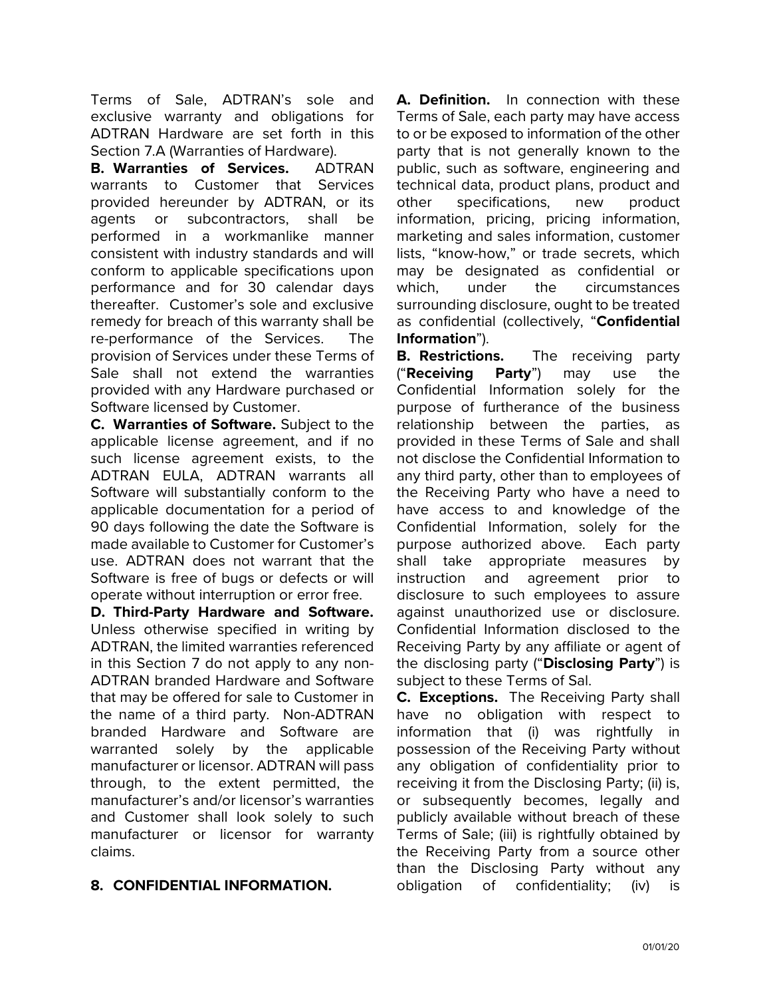Terms of Sale, ADTRAN's sole and exclusive warranty and obligations for ADTRAN Hardware are set forth in this Section 7.A (Warranties of Hardware).

**B. Warranties of Services.** ADTRAN warrants to Customer that Services provided hereunder by ADTRAN, or its agents or subcontractors, shall be performed in a workmanlike manner consistent with industry standards and will conform to applicable specifications upon performance and for 30 calendar days thereafter. Customer's sole and exclusive remedy for breach of this warranty shall be re-performance of the Services. The provision of Services under these Terms of Sale shall not extend the warranties provided with any Hardware purchased or Software licensed by Customer.

**C. Warranties of Software.** Subject to the applicable license agreement, and if no such license agreement exists, to the ADTRAN EULA, ADTRAN warrants all Software will substantially conform to the applicable documentation for a period of 90 days following the date the Software is made available to Customer for Customer's use. ADTRAN does not warrant that the Software is free of bugs or defects or will operate without interruption or error free.

**D. Third-Party Hardware and Software.**  Unless otherwise specified in writing by ADTRAN, the limited warranties referenced in this Section 7 do not apply to any non-ADTRAN branded Hardware and Software that may be offered for sale to Customer in the name of a third party. Non-ADTRAN branded Hardware and Software are warranted solely by the applicable manufacturer or licensor. ADTRAN will pass through, to the extent permitted, the manufacturer's and/or licensor's warranties and Customer shall look solely to such manufacturer or licensor for warranty claims.

# **8. CONFIDENTIAL INFORMATION.**

**A. Definition.** In connection with these Terms of Sale, each party may have access to or be exposed to information of the other party that is not generally known to the public, such as software, engineering and technical data, product plans, product and other specifications, new product information, pricing, pricing information, marketing and sales information, customer lists, "know-how," or trade secrets, which may be designated as confidential or which. under the circumstances surrounding disclosure, ought to be treated as confidential (collectively, "**Confidential Information**").

**B. Restrictions.** The receiving party ("**Receiving Party**") may use the Confidential Information solely for the purpose of furtherance of the business relationship between the parties, as provided in these Terms of Sale and shall not disclose the Confidential Information to any third party, other than to employees of the Receiving Party who have a need to have access to and knowledge of the Confidential Information, solely for the purpose authorized above. Each party shall take appropriate measures by instruction and agreement prior to disclosure to such employees to assure against unauthorized use or disclosure. Confidential Information disclosed to the Receiving Party by any affiliate or agent of the disclosing party ("**Disclosing Party**") is subject to these Terms of Sal.

**C. Exceptions.** The Receiving Party shall have no obligation with respect to information that (i) was rightfully in possession of the Receiving Party without any obligation of confidentiality prior to receiving it from the Disclosing Party; (ii) is, or subsequently becomes, legally and publicly available without breach of these Terms of Sale; (iii) is rightfully obtained by the Receiving Party from a source other than the Disclosing Party without any obligation of confidentiality; (iv) is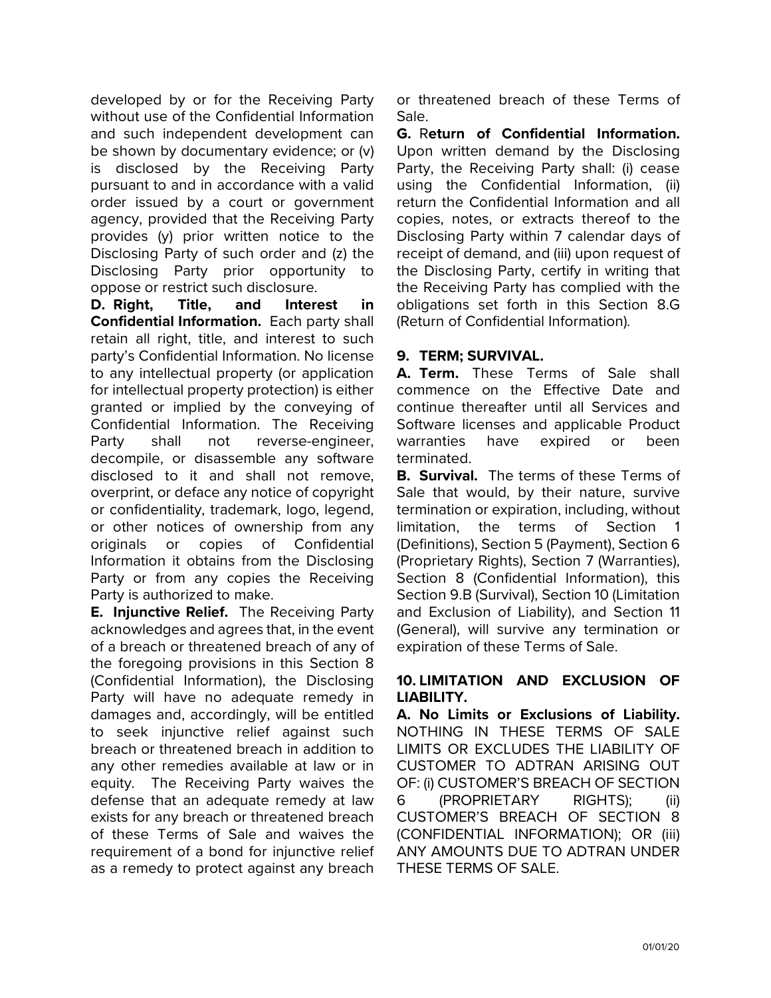developed by or for the Receiving Party without use of the Confidential Information and such independent development can be shown by documentary evidence; or (v) is disclosed by the Receiving Party pursuant to and in accordance with a valid order issued by a court or government agency, provided that the Receiving Party provides (y) prior written notice to the Disclosing Party of such order and (z) the Disclosing Party prior opportunity to oppose or restrict such disclosure.

**D. Right, Title, and Interest in Confidential Information.** Each party shall retain all right, title, and interest to such party's Confidential Information. No license to any intellectual property (or application for intellectual property protection) is either granted or implied by the conveying of Confidential Information. The Receiving Party shall not reverse-engineer, decompile, or disassemble any software disclosed to it and shall not remove, overprint, or deface any notice of copyright or confidentiality, trademark, logo, legend, or other notices of ownership from any originals or copies of Confidential Information it obtains from the Disclosing Party or from any copies the Receiving Party is authorized to make.

**E. Injunctive Relief.** The Receiving Party acknowledges and agrees that, in the event of a breach or threatened breach of any of the foregoing provisions in this Section 8 (Confidential Information), the Disclosing Party will have no adequate remedy in damages and, accordingly, will be entitled to seek injunctive relief against such breach or threatened breach in addition to any other remedies available at law or in equity. The Receiving Party waives the defense that an adequate remedy at law exists for any breach or threatened breach of these Terms of Sale and waives the requirement of a bond for injunctive relief as a remedy to protect against any breach or threatened breach of these Terms of Sale.

**G.** R**eturn of Confidential Information.** Upon written demand by the Disclosing Party, the Receiving Party shall: (i) cease using the Confidential Information, (ii) return the Confidential Information and all copies, notes, or extracts thereof to the Disclosing Party within 7 calendar days of receipt of demand, and (iii) upon request of the Disclosing Party, certify in writing that the Receiving Party has complied with the obligations set forth in this Section 8.G (Return of Confidential Information).

### **9. TERM; SURVIVAL.**

**A. Term.** These Terms of Sale shall commence on the Effective Date and continue thereafter until all Services and Software licenses and applicable Product warranties have expired or been terminated.

**B. Survival.** The terms of these Terms of Sale that would, by their nature, survive termination or expiration, including, without limitation, the terms of Section 1 (Definitions), Section 5 (Payment), Section 6 (Proprietary Rights), Section 7 (Warranties), Section 8 (Confidential Information), this Section 9.B (Survival), Section 10 (Limitation and Exclusion of Liability), and Section 11 (General), will survive any termination or expiration of these Terms of Sale.

### **10. LIMITATION AND EXCLUSION OF LIABILITY.**

**A. No Limits or Exclusions of Liability.** NOTHING IN THESE TERMS OF SALE LIMITS OR EXCLUDES THE LIABILITY OF CUSTOMER TO ADTRAN ARISING OUT OF: (i) CUSTOMER'S BREACH OF SECTION 6 (PROPRIETARY RIGHTS); (ii) CUSTOMER'S BREACH OF SECTION 8 (CONFIDENTIAL INFORMATION); OR (iii) ANY AMOUNTS DUE TO ADTRAN UNDER THESE TERMS OF SALE.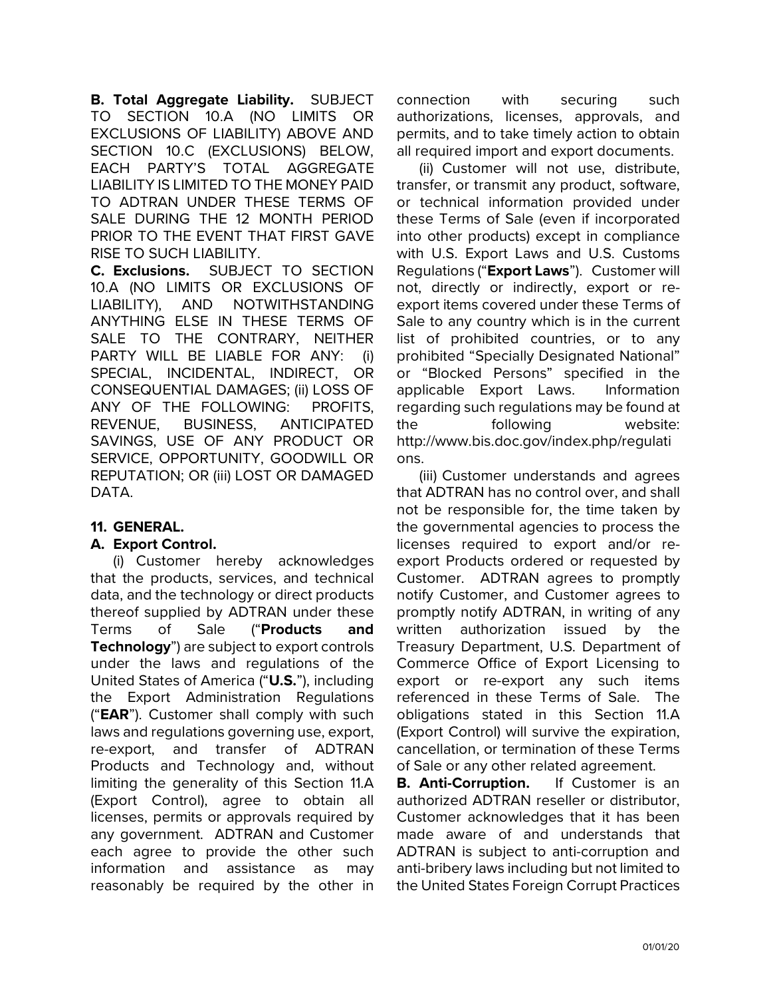**B. Total Aggregate Liability.** SUBJECT TO SECTION 10.A (NO LIMITS OR EXCLUSIONS OF LIABILITY) ABOVE AND SECTION 10.C (EXCLUSIONS) BELOW, EACH PARTY'S TOTAL AGGREGATE LIABILITY IS LIMITED TO THE MONEY PAID TO ADTRAN UNDER THESE TERMS OF SALE DURING THE 12 MONTH PERIOD PRIOR TO THE EVENT THAT FIRST GAVE RISE TO SUCH LIABILITY.

**C. Exclusions.** SUBJECT TO SECTION 10.A (NO LIMITS OR EXCLUSIONS OF LIABILITY), AND NOTWITHSTANDING ANYTHING ELSE IN THESE TERMS OF SALE TO THE CONTRARY, NEITHER PARTY WILL BE LIABLE FOR ANY: (i) SPECIAL, INCIDENTAL, INDIRECT, OR CONSEQUENTIAL DAMAGES; (ii) LOSS OF ANY OF THE FOLLOWING: PROFITS, REVENUE, BUSINESS, ANTICIPATED SAVINGS, USE OF ANY PRODUCT OR SERVICE, OPPORTUNITY, GOODWILL OR REPUTATION; OR (iii) LOST OR DAMAGED DATA.

# **11. GENERAL.**

#### **A. Export Control.**

(i) Customer hereby acknowledges that the products, services, and technical data, and the technology or direct products thereof supplied by ADTRAN under these Terms of Sale ("**Products and Technology**") are subject to export controls under the laws and regulations of the United States of America ("**U.S.**"), including the Export Administration Regulations ("**EAR**"). Customer shall comply with such laws and regulations governing use, export, re-export, and transfer of ADTRAN Products and Technology and, without limiting the generality of this Section 11.A (Export Control), agree to obtain all licenses, permits or approvals required by any government. ADTRAN and Customer each agree to provide the other such information and assistance as may reasonably be required by the other in

connection with securing such authorizations, licenses, approvals, and permits, and to take timely action to obtain all required import and export documents.

(ii) Customer will not use, distribute, transfer, or transmit any product, software, or technical information provided under these Terms of Sale (even if incorporated into other products) except in compliance with U.S. Export Laws and U.S. Customs Regulations ("**Export Laws**"). Customer will not, directly or indirectly, export or reexport items covered under these Terms of Sale to any country which is in the current list of prohibited countries, or to any prohibited "Specially Designated National" or "Blocked Persons" specified in the applicable Export Laws. Information regarding such regulations may be found at the following website: http://www.bis.doc.gov/index.php/regulati ons.

(iii) Customer understands and agrees that ADTRAN has no control over, and shall not be responsible for, the time taken by the governmental agencies to process the licenses required to export and/or reexport Products ordered or requested by Customer. ADTRAN agrees to promptly notify Customer, and Customer agrees to promptly notify ADTRAN, in writing of any written authorization issued by the Treasury Department, U.S. Department of Commerce Office of Export Licensing to export or re-export any such items referenced in these Terms of Sale. The obligations stated in this Section 11.A (Export Control) will survive the expiration, cancellation, or termination of these Terms of Sale or any other related agreement.

**B. Anti-Corruption.** If Customer is an authorized ADTRAN reseller or distributor, Customer acknowledges that it has been made aware of and understands that ADTRAN is subject to anti-corruption and anti-bribery laws including but not limited to the United States Foreign Corrupt Practices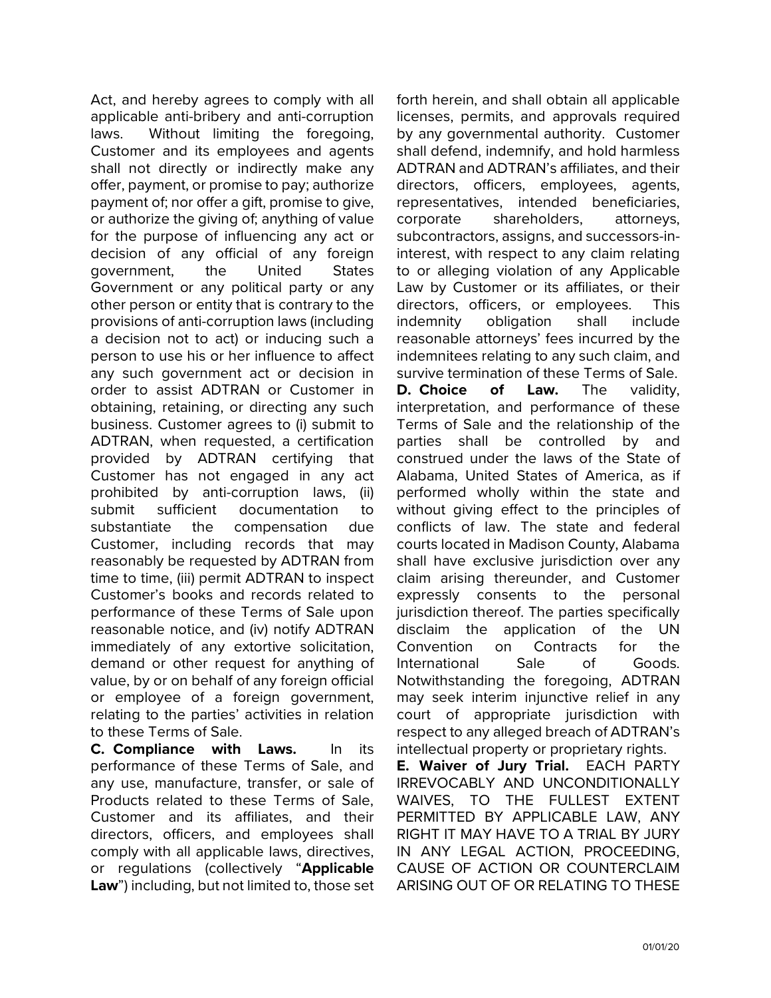Act, and hereby agrees to comply with all applicable anti-bribery and anti-corruption laws. Without limiting the foregoing, Customer and its employees and agents shall not directly or indirectly make any offer, payment, or promise to pay; authorize payment of; nor offer a gift, promise to give, or authorize the giving of; anything of value for the purpose of influencing any act or decision of any official of any foreign government, the United States Government or any political party or any other person or entity that is contrary to the provisions of anti-corruption laws (including a decision not to act) or inducing such a person to use his or her influence to affect any such government act or decision in order to assist ADTRAN or Customer in obtaining, retaining, or directing any such business. Customer agrees to (i) submit to ADTRAN, when requested, a certification provided by ADTRAN certifying that Customer has not engaged in any act prohibited by anti-corruption laws, (ii) submit sufficient documentation to substantiate the compensation due Customer, including records that may reasonably be requested by ADTRAN from time to time, (iii) permit ADTRAN to inspect Customer's books and records related to performance of these Terms of Sale upon reasonable notice, and (iv) notify ADTRAN immediately of any extortive solicitation, demand or other request for anything of value, by or on behalf of any foreign official or employee of a foreign government, relating to the parties' activities in relation to these Terms of Sale.

**C. Compliance with Laws.** In its performance of these Terms of Sale, and any use, manufacture, transfer, or sale of Products related to these Terms of Sale, Customer and its affiliates, and their directors, officers, and employees shall comply with all applicable laws, directives, or regulations (collectively "**Applicable Law**") including, but not limited to, those set forth herein, and shall obtain all applicable licenses, permits, and approvals required by any governmental authority. Customer shall defend, indemnify, and hold harmless ADTRAN and ADTRAN's affiliates, and their directors, officers, employees, agents, representatives, intended beneficiaries, corporate shareholders, attorneys, subcontractors, assigns, and successors-ininterest, with respect to any claim relating to or alleging violation of any Applicable Law by Customer or its affiliates, or their directors, officers, or employees. This indemnity obligation shall include reasonable attorneys' fees incurred by the indemnitees relating to any such claim, and survive termination of these Terms of Sale. **D. Choice of Law.** The validity, interpretation, and performance of these Terms of Sale and the relationship of the parties shall be controlled by and construed under the laws of the State of Alabama, United States of America, as if performed wholly within the state and without giving effect to the principles of conflicts of law. The state and federal courts located in Madison County, Alabama shall have exclusive jurisdiction over any claim arising thereunder, and Customer expressly consents to the personal jurisdiction thereof. The parties specifically disclaim the application of the UN Convention on Contracts for the International Sale of Goods. Notwithstanding the foregoing, ADTRAN may seek interim injunctive relief in any court of appropriate jurisdiction with respect to any alleged breach of ADTRAN's intellectual property or proprietary rights.

**E. Waiver of Jury Trial.** EACH PARTY IRREVOCABLY AND UNCONDITIONALLY WAIVES, TO THE FULLEST EXTENT PERMITTED BY APPLICABLE LAW, ANY RIGHT IT MAY HAVE TO A TRIAL BY JURY IN ANY LEGAL ACTION, PROCEEDING, CAUSE OF ACTION OR COUNTERCLAIM ARISING OUT OF OR RELATING TO THESE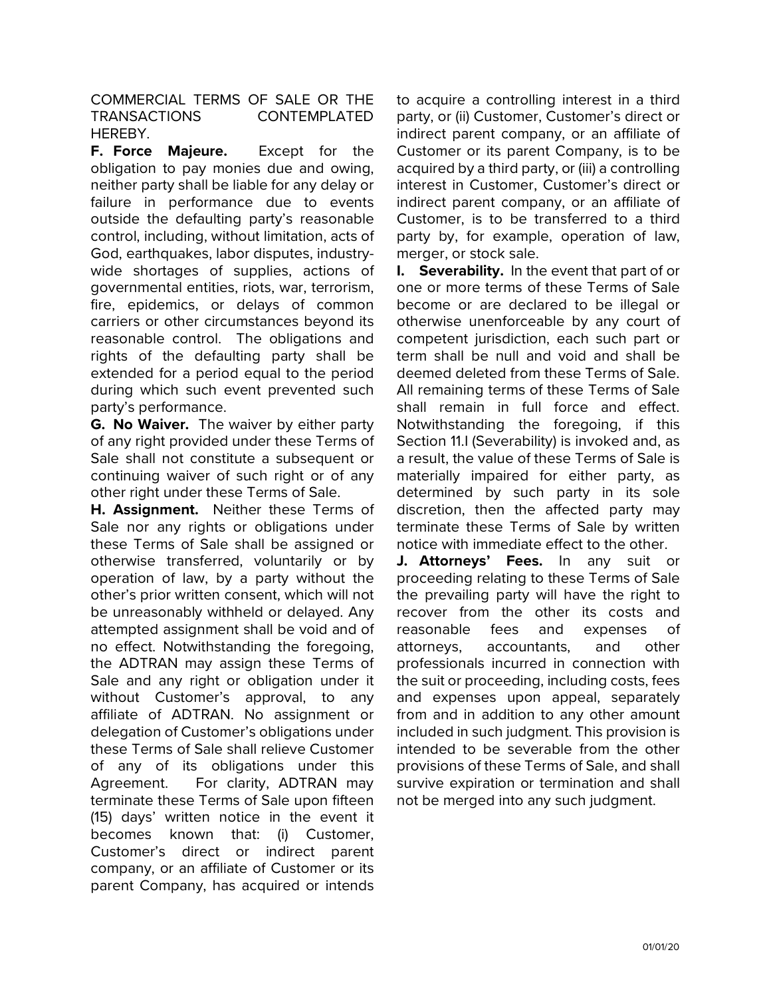COMMERCIAL TERMS OF SALE OR THE TRANSACTIONS CONTEMPLATED HEREBY.

**F. Force Majeure.** Except for the obligation to pay monies due and owing, neither party shall be liable for any delay or failure in performance due to events outside the defaulting party's reasonable control, including, without limitation, acts of God, earthquakes, labor disputes, industrywide shortages of supplies, actions of governmental entities, riots, war, terrorism, fire, epidemics, or delays of common carriers or other circumstances beyond its reasonable control. The obligations and rights of the defaulting party shall be extended for a period equal to the period during which such event prevented such party's performance.

**G. No Waiver.** The waiver by either party of any right provided under these Terms of Sale shall not constitute a subsequent or continuing waiver of such right or of any other right under these Terms of Sale.

**H. Assignment.** Neither these Terms of Sale nor any rights or obligations under these Terms of Sale shall be assigned or otherwise transferred, voluntarily or by operation of law, by a party without the other's prior written consent, which will not be unreasonably withheld or delayed. Any attempted assignment shall be void and of no effect. Notwithstanding the foregoing, the ADTRAN may assign these Terms of Sale and any right or obligation under it without Customer's approval, to any affiliate of ADTRAN. No assignment or delegation of Customer's obligations under these Terms of Sale shall relieve Customer of any of its obligations under this Agreement. For clarity, ADTRAN may terminate these Terms of Sale upon fifteen (15) days' written notice in the event it becomes known that: (i) Customer, Customer's direct or indirect parent company, or an affiliate of Customer or its parent Company, has acquired or intends

to acquire a controlling interest in a third party, or (ii) Customer, Customer's direct or indirect parent company, or an affiliate of Customer or its parent Company, is to be acquired by a third party, or (iii) a controlling interest in Customer, Customer's direct or indirect parent company, or an affiliate of Customer, is to be transferred to a third party by, for example, operation of law, merger, or stock sale.

**I. Severability.** In the event that part of or one or more terms of these Terms of Sale become or are declared to be illegal or otherwise unenforceable by any court of competent jurisdiction, each such part or term shall be null and void and shall be deemed deleted from these Terms of Sale. All remaining terms of these Terms of Sale shall remain in full force and effect. Notwithstanding the foregoing, if this Section 11.I (Severability) is invoked and, as a result, the value of these Terms of Sale is materially impaired for either party, as determined by such party in its sole discretion, then the affected party may terminate these Terms of Sale by written notice with immediate effect to the other.

**J. Attorneys' Fees.** In any suit or proceeding relating to these Terms of Sale the prevailing party will have the right to recover from the other its costs and reasonable fees and expenses of attorneys, accountants, and other professionals incurred in connection with the suit or proceeding, including costs, fees and expenses upon appeal, separately from and in addition to any other amount included in such judgment. This provision is intended to be severable from the other provisions of these Terms of Sale, and shall survive expiration or termination and shall not be merged into any such judgment.